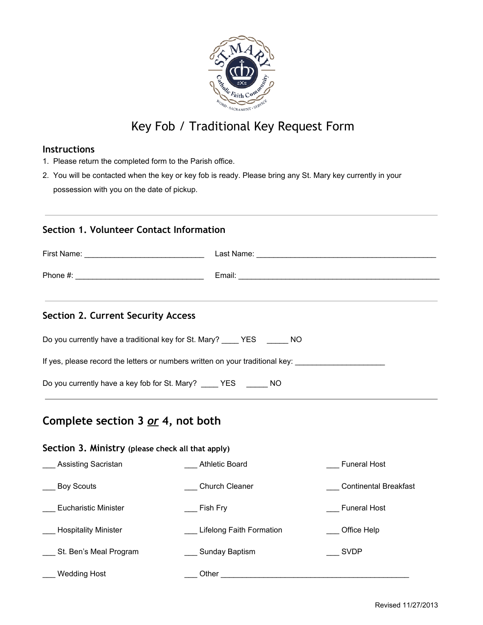

# Key Fob / Traditional Key Request Form

#### **Instructions**

- 1. Please return the completed form to the Parish office.
- 2. You will be contacted when the key or key fob is ready. Please bring any St. Mary key currently in your possession with you on the date of pickup.

### **Section 1. Volunteer Contact Information**

| Section 2. Current Security Access                                            |  |  |  |
|-------------------------------------------------------------------------------|--|--|--|
| Do you currently have a traditional key for St. Mary? YES NO                  |  |  |  |
| If yes, please record the letters or numbers written on your traditional key: |  |  |  |
| Do you currently have a key fob for St. Mary? _____ YES ______ NO             |  |  |  |

## **Complete section 3** *or* **4, not both**

#### **Section 3. Ministry (please check all that apply)**

| Assisting Sacristan         | <b>Athletic Board</b>    | <b>Funeral Host</b>          |
|-----------------------------|--------------------------|------------------------------|
| <b>Boy Scouts</b>           | <b>Church Cleaner</b>    | <b>Continental Breakfast</b> |
| Eucharistic Minister        | Fish Fry                 | <b>Funeral Host</b>          |
| <b>Hospitality Minister</b> | Lifelong Faith Formation | Office Help                  |
| St. Ben's Meal Program      | <b>Sunday Baptism</b>    | <b>SVDP</b>                  |
| <b>Wedding Host</b>         | Other                    |                              |